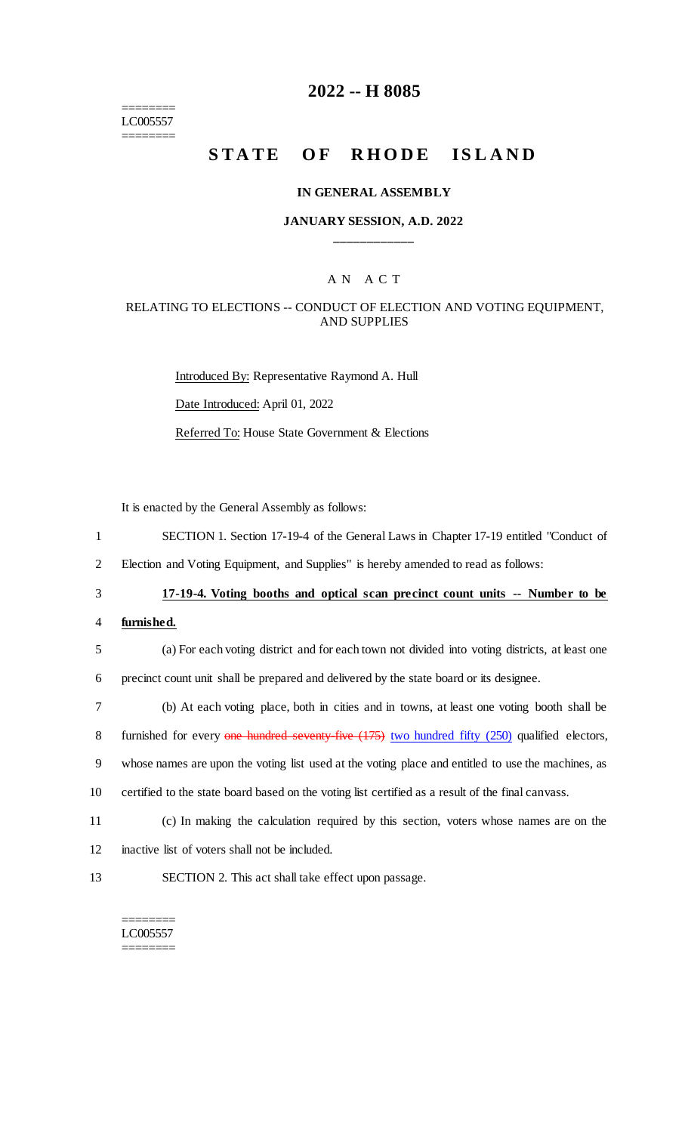======== LC005557 ========

# **2022 -- H 8085**

# **STATE OF RHODE ISLAND**

#### **IN GENERAL ASSEMBLY**

### **JANUARY SESSION, A.D. 2022 \_\_\_\_\_\_\_\_\_\_\_\_**

### A N A C T

### RELATING TO ELECTIONS -- CONDUCT OF ELECTION AND VOTING EQUIPMENT, AND SUPPLIES

Introduced By: Representative Raymond A. Hull Date Introduced: April 01, 2022 Referred To: House State Government & Elections

It is enacted by the General Assembly as follows:

1 SECTION 1. Section 17-19-4 of the General Laws in Chapter 17-19 entitled "Conduct of

2 Election and Voting Equipment, and Supplies" is hereby amended to read as follows:

# 3 **17-19-4. Voting booths and optical scan precinct count units -- Number to be**

- 4 **furnished.**
- 5 (a) For each voting district and for each town not divided into voting districts, at least one 6 precinct count unit shall be prepared and delivered by the state board or its designee.
- 7 (b) At each voting place, both in cities and in towns, at least one voting booth shall be

8 furnished for every one hundred seventy-five (175) two hundred fifty (250) qualified electors,

9 whose names are upon the voting list used at the voting place and entitled to use the machines, as

10 certified to the state board based on the voting list certified as a result of the final canvass.

- 11 (c) In making the calculation required by this section, voters whose names are on the
- 12 inactive list of voters shall not be included.
- 13 SECTION 2. This act shall take effect upon passage.

#### ======== LC005557 ========